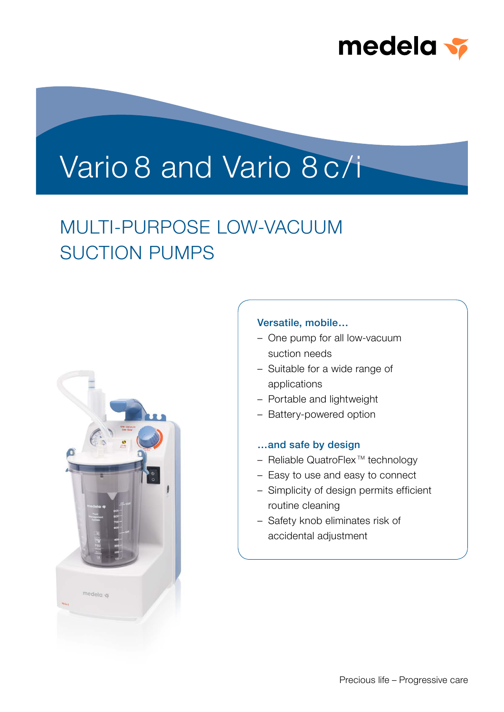

# Vario 8 and Vario 8 c/i

## MULTI-PURPOSE LOW-VACUUM SUCTION PUMPS



#### Versatile, mobile…

- One pump for all low-vacuum suction needs
- Suitable for a wide range of applications
- Portable and lightweight
- Battery-powered option

#### …and safe by design

- $-$  Reliable QuatroFlex<sup>™</sup> technology
- Easy to use and easy to connect
- Simplicity of design permits efficient routine cleaning
- Safety knob eliminates risk of accidental adjustment